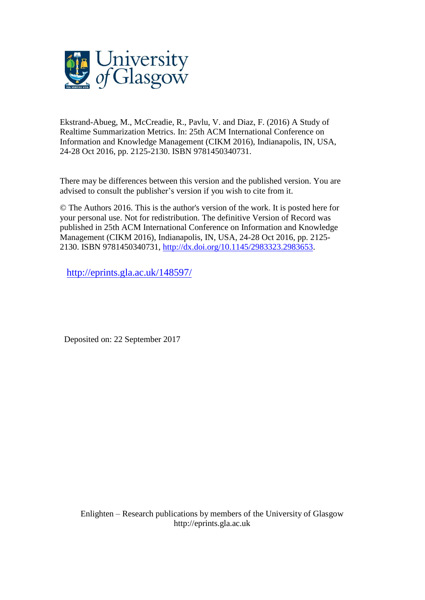

Ekstrand-Abueg, M., McCreadie, R., Pavlu, V. and Diaz, F. (2016) A Study of Realtime Summarization Metrics. In: 25th ACM International Conference on Information and Knowledge Management (CIKM 2016), Indianapolis, IN, USA, 24-28 Oct 2016, pp. 2125-2130. ISBN 9781450340731.

There may be differences between this version and the published version. You are advised to consult the publisher's version if you wish to cite from it.

© The Authors 2016. This is the author's version of the work. It is posted here for your personal use. Not for redistribution. The definitive Version of Record was published in 25th ACM International Conference on Information and Knowledge Management (CIKM 2016), Indianapolis, IN, USA, 24-28 Oct 2016, pp. 2125- 2130. ISBN 9781450340731, [http://dx.doi.org/10.1145/2983323.2983653.](http://dx.doi.org/10.1145/2983323.2983653)

<http://eprints.gla.ac.uk/148597/>

Deposited on: 22 September 2017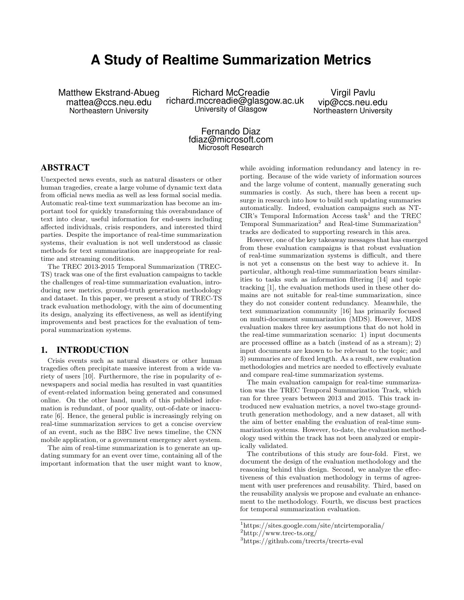# **A Study of Realtime Summarization Metrics**

Matthew Ekstrand-Abueg mattea@ccs.neu.edu Northeastern University

Richard McCreadie richard.mccreadie@glasgow.ac.uk University of Glasgow

Virgil Pavlu vip@ccs.neu.edu Northeastern University

Fernando Diaz fdiaz@microsoft.com Microsoft Research

# ABSTRACT

Unexpected news events, such as natural disasters or other human tragedies, create a large volume of dynamic text data from official news media as well as less formal social media. Automatic real-time text summarization has become an important tool for quickly transforming this overabundance of text into clear, useful information for end-users including affected individuals, crisis responders, and interested third parties. Despite the importance of real-time summarization systems, their evaluation is not well understood as classic methods for text summarization are inappropriate for realtime and streaming conditions.

The TREC 2013-2015 Temporal Summarization (TREC-TS) track was one of the first evaluation campaigns to tackle the challenges of real-time summarization evaluation, introducing new metrics, ground-truth generation methodology and dataset. In this paper, we present a study of TREC-TS track evaluation methodology, with the aim of documenting its design, analyzing its effectiveness, as well as identifying improvements and best practices for the evaluation of temporal summarization systems.

#### 1. INTRODUCTION

Crisis events such as natural disasters or other human tragedies often precipitate massive interest from a wide variety of users [10]. Furthermore, the rise in popularity of enewspapers and social media has resulted in vast quantities of event-related information being generated and consumed online. On the other hand, much of this published information is redundant, of poor quality, out-of-date or inaccurate [6]. Hence, the general public is increasingly relying on real-time summarization services to get a concise overview of an event, such as the BBC live news timeline, the CNN mobile application, or a government emergency alert system.

The aim of real-time summarization is to generate an updating summary for an event over time, containing all of the important information that the user might want to know, while avoiding information redundancy and latency in reporting. Because of the wide variety of information sources and the large volume of content, manually generating such summaries is costly. As such, there has been a recent upsurge in research into how to build such updating summaries automatically. Indeed, evaluation campaigns such as NT-CIR's Temporal Information Access  $task^1$  and the TREC Temporal Summarization<sup>2</sup> and Real-time Summarization<sup>3</sup> tracks are dedicated to supporting research in this area.

However, one of the key takeaway messages that has emerged from these evaluation campaigns is that robust evaluation of real-time summarization systems is difficult, and there is not yet a consensus on the best way to achieve it. In particular, although real-time summarization bears similarities to tasks such as information filtering [14] and topic tracking [1], the evaluation methods used in these other domains are not suitable for real-time summarization, since they do not consider content redundancy. Meanwhile, the text summarization community [16] has primarily focused on multi-document summarization (MDS). However, MDS evaluation makes three key assumptions that do not hold in the real-time summarization scenario: 1) input documents are processed offline as a batch (instead of as a stream); 2) input documents are known to be relevant to the topic; and 3) summaries are of fixed length. As a result, new evaluation methodologies and metrics are needed to effectively evaluate and compare real-time summarization systems.

The main evaluation campaign for real-time summarization was the TREC Temporal Summarization Track, which ran for three years between 2013 and 2015. This track introduced new evaluation metrics, a novel two-stage groundtruth generation methodology, and a new dataset, all with the aim of better enabling the evaluation of real-time summarization systems. However, to-date, the evaluation methodology used within the track has not been analyzed or empirically validated.

The contributions of this study are four-fold. First, we document the design of the evaluation methodology and the reasoning behind this design. Second, we analyze the effectiveness of this evaluation methodology in terms of agreement with user preferences and reusability. Third, based on the reusability analysis we propose and evaluate an enhancement to the methodology. Fourth, we discuss best practices for temporal summarization evaluation.

<sup>1</sup>https://sites.google.com/site/ntcirtemporalia/

<sup>2</sup>http://www.trec-ts.org/

<sup>3</sup>https://github.com/trecrts/trecrts-eval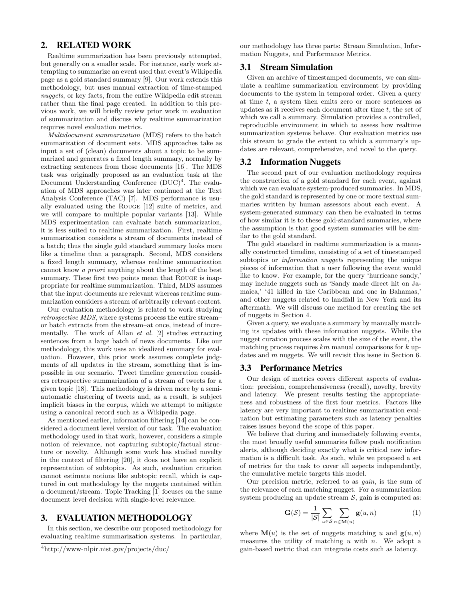# 2. RELATED WORK

Realtime summarization has been previously attempted, but generally on a smaller scale. For instance, early work attempting to summarize an event used that event's Wikipedia page as a gold standard summary [9]. Our work extends this methodology, but uses manual extraction of time-stamped nuggets, or key facts, from the entire Wikipedia edit stream rather than the final page created. In addition to this previous work, we will briefly review prior work in evaluation of summarization and discuss why realtime summarization requires novel evaluation metrics.

Multidocument summarization (MDS) refers to the batch summarization of document sets. MDS approaches take as input a set of (clean) documents about a topic to be summarized and generates a fixed length summary, normally by extracting sentences from those documents [16]. The MDS task was originally proposed as an evaluation task at the Document Understanding Conference  $(DUC)^4$ . The evaluation of MDS approaches was later continued at the Text Analysis Conference (TAC) [7]. MDS performance is usually evaluated using the Rouge [12] suite of metrics, and we will compare to multiple popular variants [13]. While MDS experimentation can evaluate batch summarization, it is less suited to realtime summarization. First, realtime summarization considers a stream of documents instead of a batch; thus the single gold standard summary looks more like a timeline than a paragraph. Second, MDS considers a fixed length summary, whereas realtime summarization cannot know a priori anything about the length of the best summary. These first two points mean that ROUGE is inappropriate for realtime summarization. Third, MDS assumes that the input documents are relevant whereas realtime summarization considers a stream of arbitrarily relevant content.

Our evaluation methodology is related to work studying retrospective MDS, where systems process the entire stream– or batch extracts from the stream–at once, instead of incrementally. The work of Allan et al. [2] studies extracting sentences from a large batch of news documents. Like our methodology, this work uses an idealized summary for evaluation. However, this prior work assumes complete judgments of all updates in the stream, something that is impossible in our scenario. Tweet timeline generation considers retrospective summarization of a stream of tweets for a given topic [18]. This methodology is driven more by a semiautomatic clustering of tweets and, as a result, is subject implicit biases in the corpus, which we attempt to mitigate using a canonical record such as a Wikipedia page.

As mentioned earlier, information filtering [14] can be considered a document level version of our task. The evaluation methodology used in that work, however, considers a simple notion of relevance, not capturing subtopic/factual structure or novelty. Although some work has studied novelty in the context of filtering [20], it does not have an explicit representation of subtopics. As such, evaluation criterion cannot estimate notions like subtopic recall, which is captured in out methodology by the nuggets contained within a document/stream. Topic Tracking [1] focuses on the same document level decision with single-level relevance.

### 3. EVALUATION METHODOLOGY

In this section, we describe our proposed methodology for evaluating realtime summarization systems. In particular,

<sup>4</sup>http://www-nlpir.nist.gov/projects/duc/

our methodology has three parts: Stream Simulation, Information Nuggets, and Performance Metrics.

# 3.1 Stream Simulation

Given an archive of timestamped documents, we can simulate a realtime summarization environment by providing documents to the system in temporal order. Given a query at time t, a system then emits zero or more sentences as updates as it receives each document after time  $t$ , the set of which we call a summary. Simulation provides a controlled, reproducible environment in which to assess how realtime summarization systems behave. Our evaluation metrics use this stream to grade the extent to which a summary's updates are relevant, comprehensive, and novel to the query.

# 3.2 Information Nuggets

The second part of our evaluation methodology requires the construction of a gold standard for each event, against which we can evaluate system-produced summaries. In MDS, the gold standard is represented by one or more textual summaries written by human assessors about each event. A system-generated summary can then be evaluated in terms of how similar it is to these gold-standard summaries, where the assumption is that good system summaries will be similar to the gold standard.

The gold standard in realtime summarization is a manually constructed timeline, consisting of a set of timestamped subtopics or *information nuggets* representing the unique pieces of information that a user following the event would like to know. For example, for the query 'hurricane sandy,' may include nuggets such as 'Sandy made direct hit on Jamaica,' '41 killed in the Caribbean and one in Bahamas,' and other nuggets related to landfall in New York and its aftermath. We will discuss one method for creating the set of nuggets in Section 4.

Given a query, we evaluate a summary by manually matching its updates with these information nuggets. While the nugget curation process scales with the size of the event, the matching process requires  $km$  manual comparisons for  $k$  updates and m nuggets. We will revisit this issue in Section 6.

#### 3.3 Performance Metrics

Our design of metrics covers different aspects of evaluation: precision, comprehensiveness (recall), novelty, brevity and latency. We present results testing the appropriateness and robustness of the first four metrics. Factors like latency are very important to realtime summarization evaluation but estimating parameters such as latency penalties raises issues beyond the scope of this paper.

We believe that during and immediately following events, the most broadly useful summaries follow push notification alerts, although deciding exactly what is critical new information is a difficult task. As such, while we proposed a set of metrics for the task to cover all aspects independently, the cumulative metric targets this model.

Our precision metric, referred to as gain, is the sum of the relevance of each matching nugget. For a summarization system producing an update stream  $S$ , gain is computed as:

$$
\mathbf{G}(\mathcal{S}) = \frac{1}{|\mathcal{S}|} \sum_{u \in \mathcal{S}} \sum_{n \in \mathbf{M}(u)} \mathbf{g}(u, n)
$$
(1)

where  $\mathbf{M}(u)$  is the set of nuggets matching u and  $\mathbf{g}(u, n)$ measures the utility of matching  $u$  with  $n$ . We adopt a gain-based metric that can integrate costs such as latency.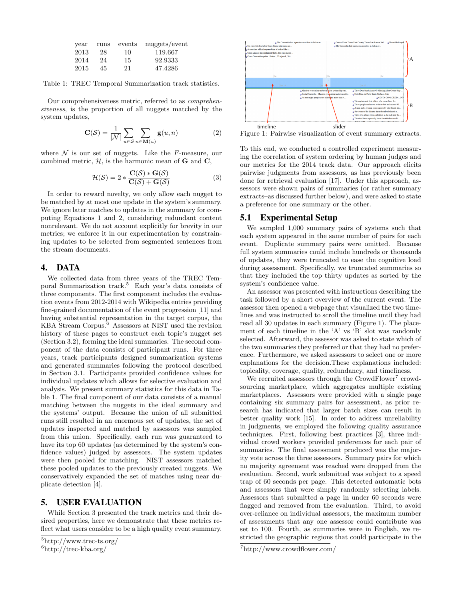| year | runs | events | nuggets/event |
|------|------|--------|---------------|
| 2013 | 28   | 10     | 119.667       |
| 2014 | 24   | 15     | 92.9333       |
| 2015 | 45   | 21     | 47.4286       |

Table 1: TREC Temporal Summarization track statistics.

Our comprehensiveness metric, referred to as comprehensiveness, is the proportion of all nuggets matched by the system updates,

$$
\mathbf{C}(\mathcal{S}) = \frac{1}{|\mathcal{N}|} \sum_{u \in \mathcal{S}} \sum_{n \in \mathbf{M}(u)} \mathbf{g}(u, n) \tag{2}
$$

where  $\mathcal N$  is our set of nuggets. Like the F-measure, our combined metric,  $H$ , is the harmonic mean of  $G$  and  $C$ ,

$$
\mathcal{H}(\mathcal{S}) = 2 * \frac{\mathbf{C}(\mathcal{S}) * \mathbf{G}(\mathcal{S})}{\mathbf{C}(\mathcal{S}) + \mathbf{G}(\mathcal{S})}
$$
(3)

In order to reward novelty, we only allow each nugget to be matched by at most one update in the system's summary. We ignore later matches to updates in the summary for computing Equations 1 and 2, considering redundant content nonrelevant. We do not account explicitly for brevity in our metrics; we enforce it in our experimentation by constraining updates to be selected from segmented sentences from the stream documents.

#### 4. DATA

We collected data from three years of the TREC Temporal Summarization track.<sup>5</sup> Each year's data consists of three components. The first component includes the evaluation events from 2012-2014 with Wikipedia entries providing fine-grained documentation of the event progression [11] and having substantial representation in the target corpus, the KBA Stream Corpus.<sup>6</sup> Assessors at NIST used the revision history of these pages to construct each topic's nugget set (Section 3.2), forming the ideal summaries. The second component of the data consists of participant runs. For three years, track participants designed summarization systems and generated summaries following the protocol described in Section 3.1. Participants provided confidence values for individual updates which allows for selective evaluation and analysis. We present summary statistics for this data in Table 1. The final component of our data consists of a manual matching between the nuggets in the ideal summary and the systems' output. Because the union of all submitted runs still resulted in an enormous set of updates, the set of updates inspected and matched by assessors was sampled from this union. Specifically, each run was guaranteed to have its top 60 updates (as determined by the system's confidence values) judged by assessors. The system updates were then pooled for matching. NIST assessors matched these pooled updates to the previously created nuggets. We conservatively expanded the set of matches using near duplicate detection [4].

#### 5. USER EVALUATION

While Section 3 presented the track metrics and their desired properties, here we demonstrate that these metrics reflect what users consider to be a high quality event summary.



 $6$ http://trec-kba.org/



Figure 1: Pairwise visualization of event summary extracts.

To this end, we conducted a controlled experiment measuring the correlation of system ordering by human judges and our metrics for the 2014 track data. Our approach elicits pairwise judgments from assessors, as has previously been done for retrieval evaluation [17]. Under this approach, assessors were shown pairs of summaries (or rather summary extracts–as discussed further below), and were asked to state a preference for one summary or the other.

#### 5.1 Experimental Setup

We sampled 1,000 summary pairs of systems such that each system appeared in the same number of pairs for each event. Duplicate summary pairs were omitted. Because full system summaries could include hundreds or thousands of updates, they were truncated to ease the cognitive load during assessment. Specifically, we truncated summaries so that they included the top thirty updates as sorted by the system's confidence value.

An assessor was presented with instructions describing the task followed by a short overview of the current event. The assessor then opened a webpage that visualized the two timelines and was instructed to scroll the timeline until they had read all 30 updates in each summary (Figure 1). The placement of each timeline in the 'A' vs 'B' slot was randomly selected. Afterward, the assessor was asked to state which of the two summaries they preferred or that they had no preference. Furthermore, we asked assessors to select one or more explanations for the decision.These explanations included: topicality, coverage, quality, redundancy, and timeliness.

We recruited assessors through the CrowdFlower<sup>7</sup> crowdsourcing marketplace, which aggregates multiple existing marketplaces. Assessors were provided with a single page containing six summary pairs for assessment, as prior research has indicated that larger batch sizes can result in better quality work [15]. In order to address unreliability in judgments, we employed the following quality assurance techniques. First, following best practices [3], three individual crowd workers provided preferences for each pair of summaries. The final assessment produced was the majority vote across the three assessors. Summary pairs for which no majority agreement was reached were dropped from the evaluation. Second, work submitted was subject to a speed trap of 60 seconds per page. This detected automatic bots and assessors that were simply randomly selecting labels. Assessors that submitted a page in under 60 seconds were flagged and removed from the evaluation. Third, to avoid over-reliance on individual assessors, the maximum number of assessments that any one assessor could contribute was set to 100. Fourth, as summaries were in English, we restricted the geographic regions that could participate in the

<sup>7</sup>http://www.crowdflower.com/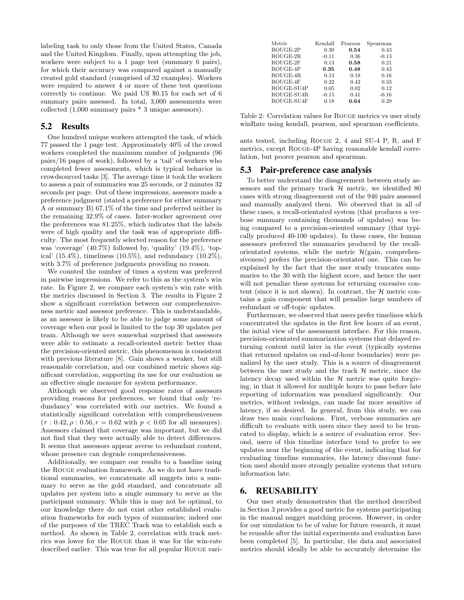labeling task to only those from the United States, Canada and the United Kingdom. Finally, upon attempting the job, workers were subject to a 1 page test (summary 6 pairs), for which their accuracy was compared against a manually created gold standard (comprised of 32 examples). Workers were required to answer 4 or more of these test questions correctly to continue. We paid US \$0.15 for each set of 6 summary pairs assessed. In total, 3,000 assessments were collected (1,000 summary pairs \* 3 unique assessors).

### 5.2 Results

One hundred unique workers attempted the task, of which 77 passed the 1 page test. Approximately 40% of the crowd workers completed the maximum number of judgments (96 pairs/16 pages of work), followed by a 'tail' of workers who completed fewer assessments, which is typical behavior in crowdsourced tasks [3]. The average time it took the workers to assess a pair of summaries was 25 seconds, or 2 minutes 32 seconds per page. Out of these impressions, assessors made a preference judgment (stated a preference for either summary A or summary B) 67.1% of the time and preferred neither in the remaining 32.9% of cases. Inter-worker agreement over the preferences was 81.25%, which indicates that the labels were of high quality and the task was of appropriate difficulty. The most frequently selected reason for the preference was 'coverage' (40.7%) followed by, 'quality' (19.4%), 'topical' (15.4%), timeliness (10.5%), and redundancy (10.2%), with  $3.7\%$  of preference judgments providing no reason.

We counted the number of times a system was preferred in pairwise impressions. We refer to this as the system's win rate. In Figure 2, we compare each system's win rate with the metrics discussed in Section 3. The results in Figure 2 show a significant correlation between our comprehensiveness metric and assessor preference. This is understandable, as an assessor is likely to be able to judge some amount of coverage when our pool is limited to the top 30 updates per team. Although we were somewhat surprised that assessors were able to estimate a recall-oriented metric better than the precision-oriented metric, this phenomenon is consistent with previous literature [8]. Gain shows a weaker, but still reasonable correlation, and our combined metric shows significant correlation, supporting its use for our evaluation as an effective single measure for system performance.

Although we observed good response rates of assessors providing reasons for preferences, we found that only 'redundancy' was correlated with our metrics. We found a statistically significant correlation with comprehensiveness  $(\tau : 0.42, \rho : 0.56, r = 0.62 \text{ with } p < 0.05 \text{ for all measures}).$ Assessors claimed that coverage was important, but we did not find that they were actually able to detect differences. It seems that assessors appear averse to redundant content, whose presence can degrade comprehensiveness.

Additionally, we compare our results to a baseline using the Rouge evaluation framework. As we do not have traditional summaries, we concatenate all nuggets into a summary to serve as the gold standard, and concatenate all updates per system into a single summary to serve as the participant summary. While this is may not be optimal, to our knowledge there do not exist other established evaluation frameworks for such types of summaries; indeed one of the purposes of the TREC Track was to establish such a method. As shown in Table 2, correlation with track metrics was lower for the Rouge than it was for the win-rate described earlier. This was true for all popular Rouge vari-

| Metric     | Kendall | Pearson | Spearman |
|------------|---------|---------|----------|
| ROUGE-2P   | 0.30    | 0.54    | 0.43     |
| ROUGE-2R   | $-0.11$ | 0.36    | $-0.13$  |
| ROUGE-2F   | 0.13    | 0.58    | 0.21     |
| ROUGE-4P   | 0.35    | 0.48    | 0.43     |
| ROUGE-4R   | 0.13    | 0.18    | 0.16     |
| ROUGE-4F   | 0.22    | 0.42    | 0.33     |
| ROUGE-SU4P | 0.05    | 0.02    | 0.12     |
| ROUGE-SU4R | $-0.15$ | 0.41    | $-0.16$  |
| ROUGE-SU4F | 0.18    | 0.64    | 0.29     |

Table 2: Correlation values for Rouge metrics vs user study winRate using kendall, pearson, and spearman coefficients.

ants tested, including Rouge 2, 4 and SU-4 P, R, and F metrics, except Rouge-4P having reasonable kendall correlation, but poorer pearson and spearman.

#### 5.3 Pair-preference case analysis

To better understand the disagreement between study assessors and the primary track  $H$  metric, we identified 80 cases with strong disagreement out of the 946 pairs assessed and manually analyzed them. We observed that in all of these cases, a recall-orientated system (that produces a verbose summary containing thousands of updates) was being compared to a precision-oriented summary (that typically produced 40-100 updates). In these cases, the human assessors preferred the summaries produced by the recallorientated systems, while the metric  $\mathcal{H}(\text{gain}, \text{comprehen-})$ siveness) prefers the precision-orientated one. This can be explained by the fact that the user study truncates summaries to the 30 with the highest score, and hence the user will not penalize these systems for returning excessive content (since it is not shown). In contrast, the  $H$  metric contains a gain component that will penalize large numbers of redundant or off-topic updates.

Furthermore, we observed that users prefer timelines which concentrated the updates in the first few hours of an event, the initial view of the assessment interface. For this reason, precision-orientated summarization systems that delayed returning content until later in the event (typically systems that returned updates on end-of-hour boundaries) were penalized by the user study. This is a source of disagreement between the user study and the track  $H$  metric, since the latency decay used within the  $H$  metric was quite forgiving, in that it allowed for multiple hours to pass before late reporting of information was penalized significantly. Our metrics, without redesign, can made far more sensitive of latency, if so desired. In general, from this study, we can draw two main conclusions. First, verbose summaries are difficult to evaluate with users since they need to be truncated to display, which is a source of evaluation error. Second, users of this timeline interface tend to prefer to see updates near the beginning of the event, indicating that for evaluating timeline summaries, the latency discount function used should more strongly penalize systems that return information late.

#### 6. REUSABILITY

Our user study demonstrates that the method described in Section 3 provides a good metric for systems participating in the manual nugget matching process. However, in order for our simulation to be of value for future research, it must be reusable after the initial experiments and evaluation have been completed [5]. In particular, the data and associated metrics should ideally be able to accurately determine the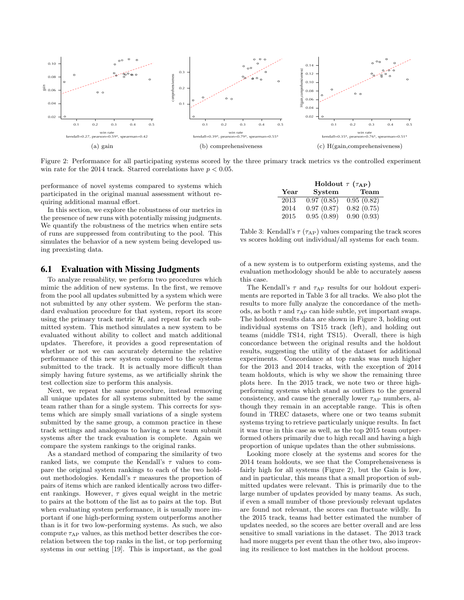

Figure 2: Performance for all participating systems scored by the three primary track metrics vs the controlled experiment win rate for the 2014 track. Starred correlations have  $p < 0.05$ .

performance of novel systems compared to systems which participated in the original manual assessment without requiring additional manual effort.

In this section, we explore the robustness of our metrics in the presence of new runs with potentially missing judgments. We quantify the robustness of the metrics when entire sets of runs are suppressed from contributing to the pool. This simulates the behavior of a new system being developed using preexisting data.

|                       | Holdout $\tau$ ( $\tau_{AP}$ ) |            |  |
|-----------------------|--------------------------------|------------|--|
| $\operatorname{Year}$ | System                         | Team       |  |
| 2013                  | 0.97(0.85)                     | 0.95(0.82) |  |
| 2014                  | 0.97(0.87)                     | 0.82(0.75) |  |
| 2015                  | 0.95(0.89)                     | 0.90(0.93) |  |

Table 3: Kendall's  $\tau$  ( $\tau_{AP}$ ) values comparing the track scores vs scores holding out individual/all systems for each team.

#### 6.1 Evaluation with Missing Judgments

To analyze reusability, we perform two procedures which mimic the addition of new systems. In the first, we remove from the pool all updates submitted by a system which were not submitted by any other system. We perform the standard evaluation procedure for that system, report its score using the primary track metric  $H$ , and repeat for each submitted system. This method simulates a new system to be evaluated without ability to collect and match additional updates. Therefore, it provides a good representation of whether or not we can accurately determine the relative performance of this new system compared to the systems submitted to the track. It is actually more difficult than simply having future systems, as we artificially shrink the test collection size to perform this analysis.

Next, we repeat the same procedure, instead removing all unique updates for all systems submitted by the same team rather than for a single system. This corrects for systems which are simply small variations of a single system submitted by the same group, a common practice in these track settings and analogous to having a new team submit systems after the track evaluation is complete. Again we compare the system rankings to the original ranks.

As a standard method of comparing the similarity of two ranked lists, we compute the Kendall's  $\tau$  values to compare the original system rankings to each of the two holdout methodologies. Kendall's  $\tau$  measures the proportion of pairs of items which are ranked identically across two different rankings. However,  $\tau$  gives equal weight in the metric to pairs at the bottom of the list as to pairs at the top. But when evaluating system performance, it is usually more important if one high-performing system outperforms another than is it for two low-performing systems. As such, we also compute  $\tau_{AP}$  values, as this method better describes the correlation between the top ranks in the list, or top performing systems in our setting [19]. This is important, as the goal

of a new system is to outperform existing systems, and the evaluation methodology should be able to accurately assess this case.

The Kendall's  $\tau$  and  $\tau_{AP}$  results for our holdout experiments are reported in Table 3 for all tracks. We also plot the results to more fully analyze the concordance of the methods, as both  $\tau$  and  $\tau_{AP}$  can hide subtle, yet important swaps. The holdout results data are shown in Figure 3, holding out individual systems on TS15 track (left), and holding out teams (middle TS14, right TS15). Overall, there is high concordance between the original results and the holdout results, suggesting the utility of the dataset for additional experiments. Concordance at top ranks was much higher for the 2013 and 2014 tracks, with the exception of 2014 team holdouts, which is why we show the remaining three plots here. In the 2015 track, we note two or three highperforming systems which stand as outliers to the general consistency, and cause the generally lower  $\tau_{AP}$  numbers, although they remain in an acceptable range. This is often found in TREC datasets, where one or two teams submit systems trying to retrieve particularly unique results. In fact it was true in this case as well, as the top 2015 team outperformed others primarily due to high recall and having a high proportion of unique updates than the other submissions.

Looking more closely at the systems and scores for the 2014 team holdouts, we see that the Comprehensiveness is fairly high for all systems (Figure 2), but the Gain is low, and in particular, this means that a small proportion of submitted updates were relevant. This is primarily due to the large number of updates provided by many teams. As such, if even a small number of those previously relevant updates are found not relevant, the scores can fluctuate wildly. In the 2015 track, teams had better estimated the number of updates needed, so the scores are better overall and are less sensitive to small variations in the dataset. The 2013 track had more nuggets per event than the other two, also improving its resilience to lost matches in the holdout process.